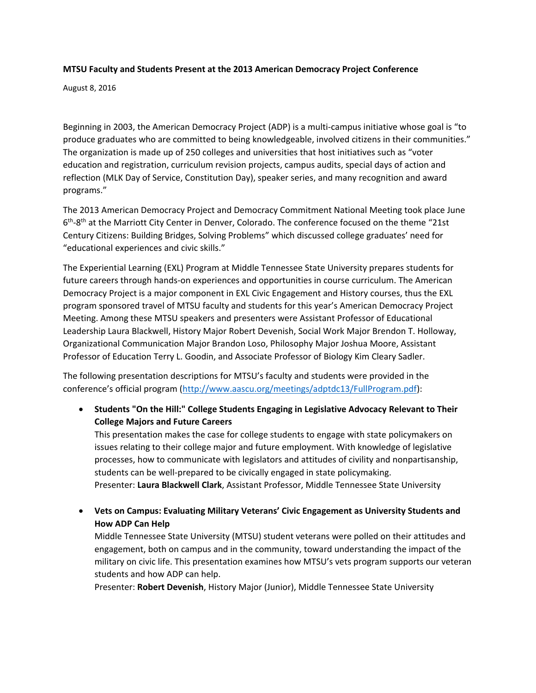## **MTSU Faculty and Students Present at the 2013 American Democracy Project Conference**

August 8, 2016

Beginning in 2003, the American Democracy Project (ADP) is a multi-campus initiative whose goal is "to produce graduates who are committed to being knowledgeable, involved citizens in their communities." The organization is made up of 250 colleges and universities that host initiatives such as "voter education and registration, curriculum revision projects, campus audits, special days of action and reflection (MLK Day of Service, Constitution Day), speaker series, and many recognition and award programs."

The 2013 American Democracy Project and Democracy Commitment National Meeting took place June 6<sup>th</sup>-8<sup>th</sup> at the Marriott City Center in Denver, Colorado. The conference focused on the theme "21st Century Citizens: Building Bridges, Solving Problems" which discussed college graduates' need for "educational experiences and civic skills."

The Experiential Learning (EXL) Program at Middle Tennessee State University prepares students for future careers through hands-on experiences and opportunities in course curriculum. The American Democracy Project is a major component in EXL Civic Engagement and History courses, thus the EXL program sponsored travel of MTSU faculty and students for this year's American Democracy Project Meeting. Among these MTSU speakers and presenters were Assistant Professor of Educational Leadership Laura Blackwell, History Major Robert Devenish, Social Work Major Brendon T. Holloway, Organizational Communication Major Brandon Loso, Philosophy Major Joshua Moore, Assistant Professor of Education Terry L. Goodin, and Associate Professor of Biology Kim Cleary Sadler.

The following presentation descriptions for MTSU's faculty and students were provided in the conference's official program ([http://www.aascu.org/meetings/adptdc13/FullProgram.pdf\)](http://www.aascu.org/meetings/adptdc13/FullProgram.pdf):

 **Students "On the Hill:" College Students Engaging in Legislative Advocacy Relevant to Their College Majors and Future Careers**

This presentation makes the case for college students to engage with state policymakers on issues relating to their college major and future employment. With knowledge of legislative processes, how to communicate with legislators and attitudes of civility and nonpartisanship, students can be well-prepared to be civically engaged in state policymaking. Presenter: **Laura Blackwell Clark**, Assistant Professor, Middle Tennessee State University

 **Vets on Campus: Evaluating Military Veterans' Civic Engagement as University Students and How ADP Can Help**

Middle Tennessee State University (MTSU) student veterans were polled on their attitudes and engagement, both on campus and in the community, toward understanding the impact of the military on civic life. This presentation examines how MTSU's vets program supports our veteran students and how ADP can help.

Presenter: **Robert Devenish**, History Major (Junior), Middle Tennessee State University